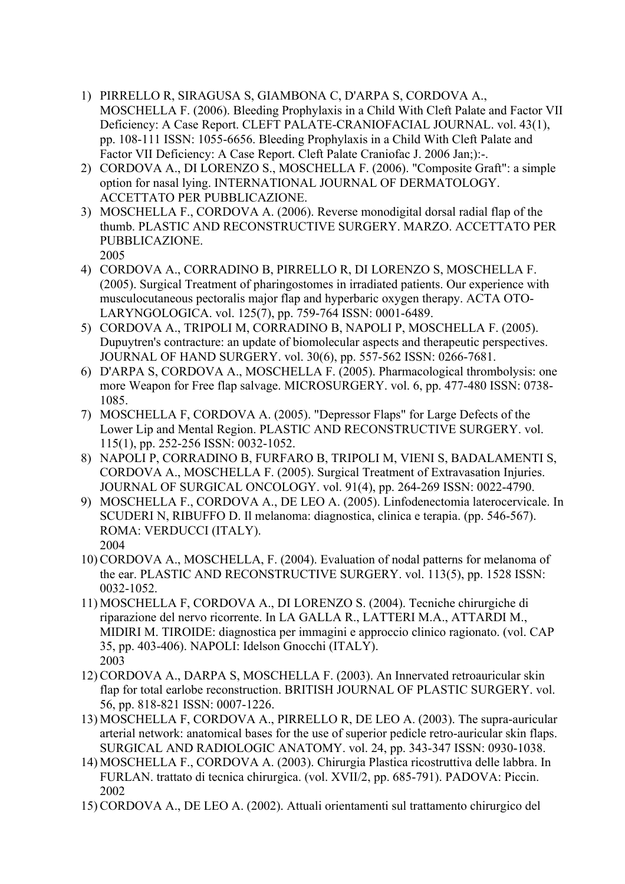- 1) PIRRELLO R, SIRAGUSA S, GIAMBONA C, D'ARPA S, CORDOVA A., MOSCHELLA F. (2006). Bleeding Prophylaxis in a Child With Cleft Palate and Factor VII Deficiency: A Case Report. CLEFT PALATE-CRANIOFACIAL JOURNAL. vol. 43(1), pp. 108-111 ISSN: 1055-6656. Bleeding Prophylaxis in a Child With Cleft Palate and Factor VII Deficiency: A Case Report. Cleft Palate Craniofac J. 2006 Jan;):-.
- 2) CORDOVA A., DI LORENZO S., MOSCHELLA F. (2006). "Composite Graft": a simple option for nasal lying. INTERNATIONAL JOURNAL OF DERMATOLOGY. ACCETTATO PER PUBBLICAZIONE.
- 3) MOSCHELLA F., CORDOVA A. (2006). Reverse monodigital dorsal radial flap of the thumb. PLASTIC AND RECONSTRUCTIVE SURGERY. MARZO. ACCETTATO PER PUBBLICAZIONE. 2005
- 4) CORDOVA A., CORRADINO B, PIRRELLO R, DI LORENZO S, MOSCHELLA F. (2005). Surgical Treatment of pharingostomes in irradiated patients. Our experience with musculocutaneous pectoralis major flap and hyperbaric oxygen therapy. ACTA OTO-LARYNGOLOGICA. vol. 125(7), pp. 759-764 ISSN: 0001-6489.
- 5) CORDOVA A., TRIPOLI M, CORRADINO B, NAPOLI P, MOSCHELLA F. (2005). Dupuytren's contracture: an update of biomolecular aspects and therapeutic perspectives. JOURNAL OF HAND SURGERY. vol. 30(6), pp. 557-562 ISSN: 0266-7681.
- 6) D'ARPA S, CORDOVA A., MOSCHELLA F. (2005). Pharmacological thrombolysis: one more Weapon for Free flap salvage. MICROSURGERY. vol. 6, pp. 477-480 ISSN: 0738- 1085.
- 7) MOSCHELLA F, CORDOVA A. (2005). "Depressor Flaps" for Large Defects of the Lower Lip and Mental Region. PLASTIC AND RECONSTRUCTIVE SURGERY. vol. 115(1), pp. 252-256 ISSN: 0032-1052.
- 8) NAPOLI P, CORRADINO B, FURFARO B, TRIPOLI M, VIENI S, BADALAMENTI S, CORDOVA A., MOSCHELLA F. (2005). Surgical Treatment of Extravasation Injuries. JOURNAL OF SURGICAL ONCOLOGY. vol. 91(4), pp. 264-269 ISSN: 0022-4790.
- 9) MOSCHELLA F., CORDOVA A., DE LEO A. (2005). Linfodenectomia laterocervicale. In SCUDERI N, RIBUFFO D. Il melanoma: diagnostica, clinica e terapia. (pp. 546-567). ROMA: VERDUCCI (ITALY). 2004
- 10) CORDOVA A., MOSCHELLA, F. (2004). Evaluation of nodal patterns for melanoma of the ear. PLASTIC AND RECONSTRUCTIVE SURGERY. vol. 113(5), pp. 1528 ISSN: 0032-1052.
- 11) MOSCHELLA F, CORDOVA A., DI LORENZO S. (2004). Tecniche chirurgiche di riparazione del nervo ricorrente. In LA GALLA R., LATTERI M.A., ATTARDI M., MIDIRI M. TIROIDE: diagnostica per immagini e approccio clinico ragionato. (vol. CAP 35, pp. 403-406). NAPOLI: Idelson Gnocchi (ITALY). 2003
- 12) CORDOVA A., DARPA S, MOSCHELLA F. (2003). An Innervated retroauricular skin flap for total earlobe reconstruction. BRITISH JOURNAL OF PLASTIC SURGERY. vol. 56, pp. 818-821 ISSN: 0007-1226.
- 13) MOSCHELLA F, CORDOVA A., PIRRELLO R, DE LEO A. (2003). The supra-auricular arterial network: anatomical bases for the use of superior pedicle retro-auricular skin flaps. SURGICAL AND RADIOLOGIC ANATOMY. vol. 24, pp. 343-347 ISSN: 0930-1038.
- 14) MOSCHELLA F., CORDOVA A. (2003). Chirurgia Plastica ricostruttiva delle labbra. In FURLAN. trattato di tecnica chirurgica. (vol. XVII/2, pp. 685-791). PADOVA: Piccin. 2002
- 15) CORDOVA A., DE LEO A. (2002). Attuali orientamenti sul trattamento chirurgico del